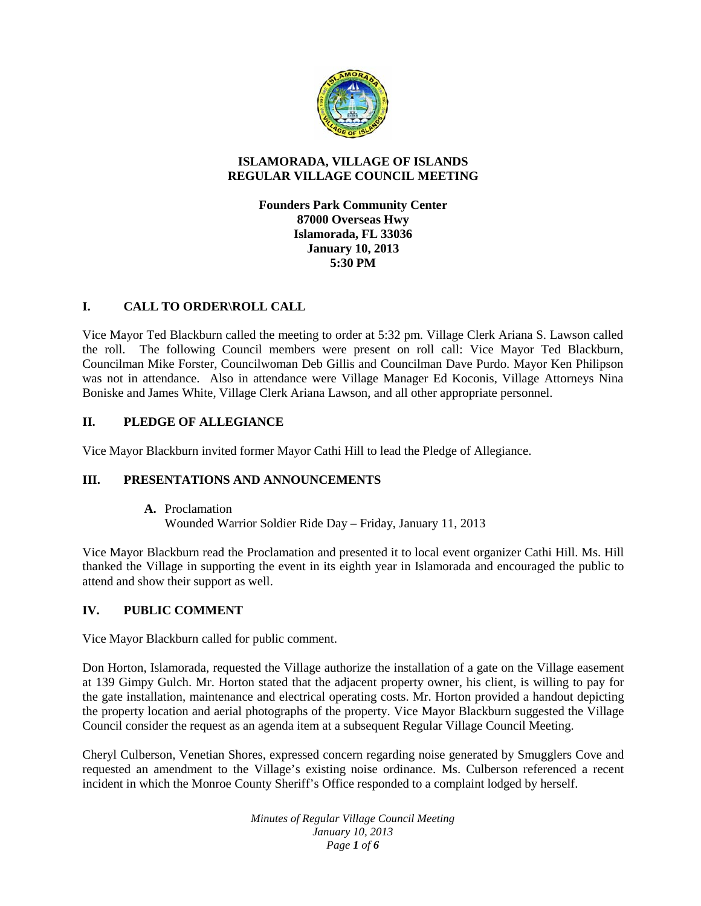

## **ISLAMORADA, VILLAGE OF ISLANDS REGULAR VILLAGE COUNCIL MEETING**

**Founders Park Community Center 87000 Overseas Hwy Islamorada, FL 33036 January 10, 2013 5:30 PM**

## **I. CALL TO ORDER\ROLL CALL**

Vice Mayor Ted Blackburn called the meeting to order at 5:32 pm. Village Clerk Ariana S. Lawson called the roll. The following Council members were present on roll call: Vice Mayor Ted Blackburn, Councilman Mike Forster, Councilwoman Deb Gillis and Councilman Dave Purdo. Mayor Ken Philipson was not in attendance. Also in attendance were Village Manager Ed Koconis, Village Attorneys Nina Boniske and James White, Village Clerk Ariana Lawson, and all other appropriate personnel.

## **II. PLEDGE OF ALLEGIANCE**

Vice Mayor Blackburn invited former Mayor Cathi Hill to lead the Pledge of Allegiance.

## **III. PRESENTATIONS AND ANNOUNCEMENTS**

**A.** Proclamation Wounded Warrior Soldier Ride Day – Friday, January 11, 2013

Vice Mayor Blackburn read the Proclamation and presented it to local event organizer Cathi Hill. Ms. Hill thanked the Village in supporting the event in its eighth year in Islamorada and encouraged the public to attend and show their support as well.

## **IV. PUBLIC COMMENT**

Vice Mayor Blackburn called for public comment.

Don Horton, Islamorada, requested the Village authorize the installation of a gate on the Village easement at 139 Gimpy Gulch. Mr. Horton stated that the adjacent property owner, his client, is willing to pay for the gate installation, maintenance and electrical operating costs. Mr. Horton provided a handout depicting the property location and aerial photographs of the property. Vice Mayor Blackburn suggested the Village Council consider the request as an agenda item at a subsequent Regular Village Council Meeting.

Cheryl Culberson, Venetian Shores, expressed concern regarding noise generated by Smugglers Cove and requested an amendment to the Village's existing noise ordinance. Ms. Culberson referenced a recent incident in which the Monroe County Sheriff's Office responded to a complaint lodged by herself.

> *Minutes of Regular Village Council Meeting January 10, 2013 Page 1 of 6*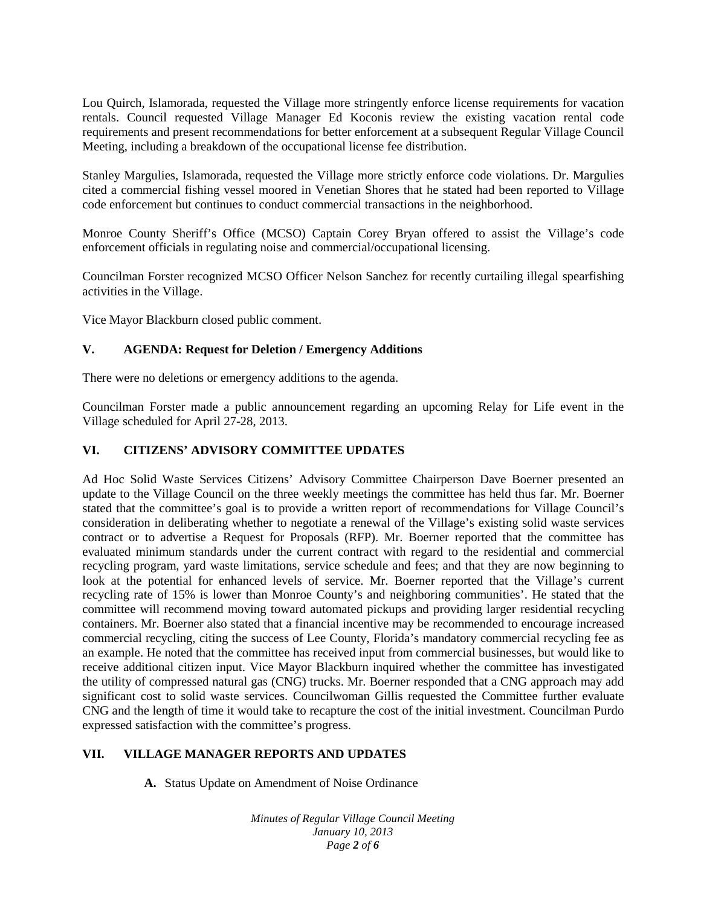Lou Quirch, Islamorada, requested the Village more stringently enforce license requirements for vacation rentals. Council requested Village Manager Ed Koconis review the existing vacation rental code requirements and present recommendations for better enforcement at a subsequent Regular Village Council Meeting, including a breakdown of the occupational license fee distribution.

Stanley Margulies, Islamorada, requested the Village more strictly enforce code violations. Dr. Margulies cited a commercial fishing vessel moored in Venetian Shores that he stated had been reported to Village code enforcement but continues to conduct commercial transactions in the neighborhood.

Monroe County Sheriff's Office (MCSO) Captain Corey Bryan offered to assist the Village's code enforcement officials in regulating noise and commercial/occupational licensing.

Councilman Forster recognized MCSO Officer Nelson Sanchez for recently curtailing illegal spearfishing activities in the Village.

Vice Mayor Blackburn closed public comment.

#### **V. AGENDA: Request for Deletion / Emergency Additions**

There were no deletions or emergency additions to the agenda.

Councilman Forster made a public announcement regarding an upcoming Relay for Life event in the Village scheduled for April 27-28, 2013.

#### **VI. CITIZENS' ADVISORY COMMITTEE UPDATES**

Ad Hoc Solid Waste Services Citizens' Advisory Committee Chairperson Dave Boerner presented an update to the Village Council on the three weekly meetings the committee has held thus far. Mr. Boerner stated that the committee's goal is to provide a written report of recommendations for Village Council's consideration in deliberating whether to negotiate a renewal of the Village's existing solid waste services contract or to advertise a Request for Proposals (RFP). Mr. Boerner reported that the committee has evaluated minimum standards under the current contract with regard to the residential and commercial recycling program, yard waste limitations, service schedule and fees; and that they are now beginning to look at the potential for enhanced levels of service. Mr. Boerner reported that the Village's current recycling rate of 15% is lower than Monroe County's and neighboring communities'. He stated that the committee will recommend moving toward automated pickups and providing larger residential recycling containers. Mr. Boerner also stated that a financial incentive may be recommended to encourage increased commercial recycling, citing the success of Lee County, Florida's mandatory commercial recycling fee as an example. He noted that the committee has received input from commercial businesses, but would like to receive additional citizen input. Vice Mayor Blackburn inquired whether the committee has investigated the utility of compressed natural gas (CNG) trucks. Mr. Boerner responded that a CNG approach may add significant cost to solid waste services. Councilwoman Gillis requested the Committee further evaluate CNG and the length of time it would take to recapture the cost of the initial investment. Councilman Purdo expressed satisfaction with the committee's progress.

#### **VII. VILLAGE MANAGER REPORTS AND UPDATES**

**A.** Status Update on Amendment of Noise Ordinance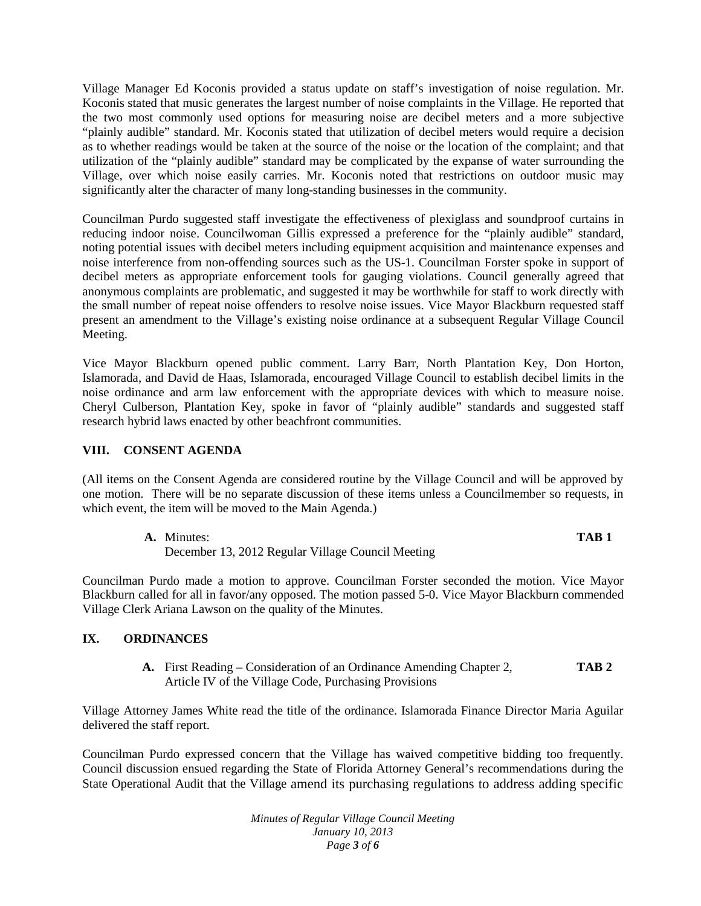Village Manager Ed Koconis provided a status update on staff's investigation of noise regulation. Mr. Koconis stated that music generates the largest number of noise complaints in the Village. He reported that the two most commonly used options for measuring noise are decibel meters and a more subjective "plainly audible" standard. Mr. Koconis stated that utilization of decibel meters would require a decision as to whether readings would be taken at the source of the noise or the location of the complaint; and that utilization of the "plainly audible" standard may be complicated by the expanse of water surrounding the Village, over which noise easily carries. Mr. Koconis noted that restrictions on outdoor music may significantly alter the character of many long-standing businesses in the community.

Councilman Purdo suggested staff investigate the effectiveness of plexiglass and soundproof curtains in reducing indoor noise. Councilwoman Gillis expressed a preference for the "plainly audible" standard, noting potential issues with decibel meters including equipment acquisition and maintenance expenses and noise interference from non-offending sources such as the US-1. Councilman Forster spoke in support of decibel meters as appropriate enforcement tools for gauging violations. Council generally agreed that anonymous complaints are problematic, and suggested it may be worthwhile for staff to work directly with the small number of repeat noise offenders to resolve noise issues. Vice Mayor Blackburn requested staff present an amendment to the Village's existing noise ordinance at a subsequent Regular Village Council Meeting.

Vice Mayor Blackburn opened public comment. Larry Barr, North Plantation Key, Don Horton, Islamorada, and David de Haas, Islamorada, encouraged Village Council to establish decibel limits in the noise ordinance and arm law enforcement with the appropriate devices with which to measure noise. Cheryl Culberson, Plantation Key, spoke in favor of "plainly audible" standards and suggested staff research hybrid laws enacted by other beachfront communities.

#### **VIII. CONSENT AGENDA**

(All items on the Consent Agenda are considered routine by the Village Council and will be approved by one motion. There will be no separate discussion of these items unless a Councilmember so requests, in which event, the item will be moved to the Main Agenda.)

| <b>A.</b> Minutes:                                | TAB <sub>1</sub> |
|---------------------------------------------------|------------------|
| December 13, 2012 Regular Village Council Meeting |                  |

Councilman Purdo made a motion to approve. Councilman Forster seconded the motion. Vice Mayor Blackburn called for all in favor/any opposed. The motion passed 5-0. Vice Mayor Blackburn commended Village Clerk Ariana Lawson on the quality of the Minutes.

## **IX. ORDINANCES**

**A.** First Reading – Consideration of an Ordinance Amending Chapter 2, **TAB 2** Article IV of the Village Code, Purchasing Provisions

Village Attorney James White read the title of the ordinance. Islamorada Finance Director Maria Aguilar delivered the staff report.

Councilman Purdo expressed concern that the Village has waived competitive bidding too frequently. Council discussion ensued regarding the State of Florida Attorney General's recommendations during the State Operational Audit that the Village amend its purchasing regulations to address adding specific

> *Minutes of Regular Village Council Meeting January 10, 2013 Page 3 of 6*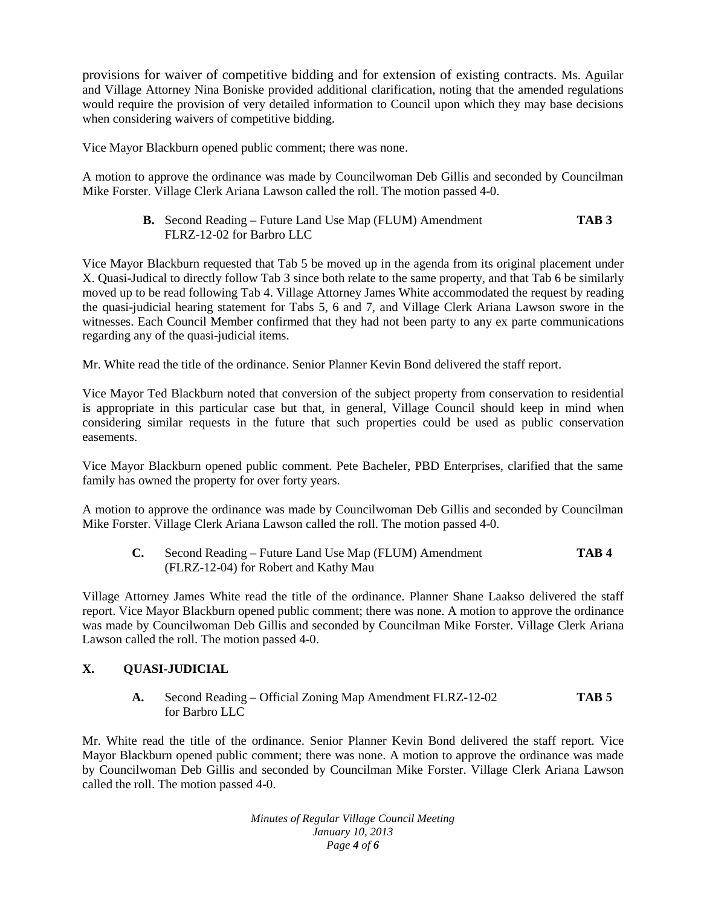provisions for waiver of competitive bidding and for extension of existing contracts. Ms. Aguilar and Village Attorney Nina Boniske provided additional clarification, noting that the amended regulations would require the provision of very detailed information to Council upon which they may base decisions when considering waivers of competitive bidding.

Vice Mayor Blackburn opened public comment; there was none.

A motion to approve the ordinance was made by Councilwoman Deb Gillis and seconded by Councilman Mike Forster. Village Clerk Ariana Lawson called the roll. The motion passed 4-0.

> **B.** Second Reading – Future Land Use Map (FLUM) Amendment **TAB 3** FLRZ-12-02 for Barbro LLC

Vice Mayor Blackburn requested that Tab 5 be moved up in the agenda from its original placement under X. Quasi-Judical to directly follow Tab 3 since both relate to the same property, and that Tab 6 be similarly moved up to be read following Tab 4. Village Attorney James White accommodated the request by reading the quasi-judicial hearing statement for Tabs 5, 6 and 7, and Village Clerk Ariana Lawson swore in the witnesses. Each Council Member confirmed that they had not been party to any ex parte communications regarding any of the quasi-judicial items.

Mr. White read the title of the ordinance. Senior Planner Kevin Bond delivered the staff report.

Vice Mayor Ted Blackburn noted that conversion of the subject property from conservation to residential is appropriate in this particular case but that, in general, Village Council should keep in mind when considering similar requests in the future that such properties could be used as public conservation easements.

Vice Mayor Blackburn opened public comment. Pete Bacheler, PBD Enterprises, clarified that the same family has owned the property for over forty years.

A motion to approve the ordinance was made by Councilwoman Deb Gillis and seconded by Councilman Mike Forster. Village Clerk Ariana Lawson called the roll. The motion passed 4-0.

**C.** Second Reading – Future Land Use Map (FLUM) Amendment **TAB 4** (FLRZ-12-04) for Robert and Kathy Mau

Village Attorney James White read the title of the ordinance. Planner Shane Laakso delivered the staff report. Vice Mayor Blackburn opened public comment; there was none. A motion to approve the ordinance was made by Councilwoman Deb Gillis and seconded by Councilman Mike Forster. Village Clerk Ariana Lawson called the roll. The motion passed 4-0.

# **X. QUASI-JUDICIAL**

**A.** Second Reading – Official Zoning Map Amendment FLRZ-12-02 **TAB 5** for Barbro LLC

Mr. White read the title of the ordinance. Senior Planner Kevin Bond delivered the staff report. Vice Mayor Blackburn opened public comment; there was none. A motion to approve the ordinance was made by Councilwoman Deb Gillis and seconded by Councilman Mike Forster. Village Clerk Ariana Lawson called the roll. The motion passed 4-0.

> *Minutes of Regular Village Council Meeting January 10, 2013 Page 4 of 6*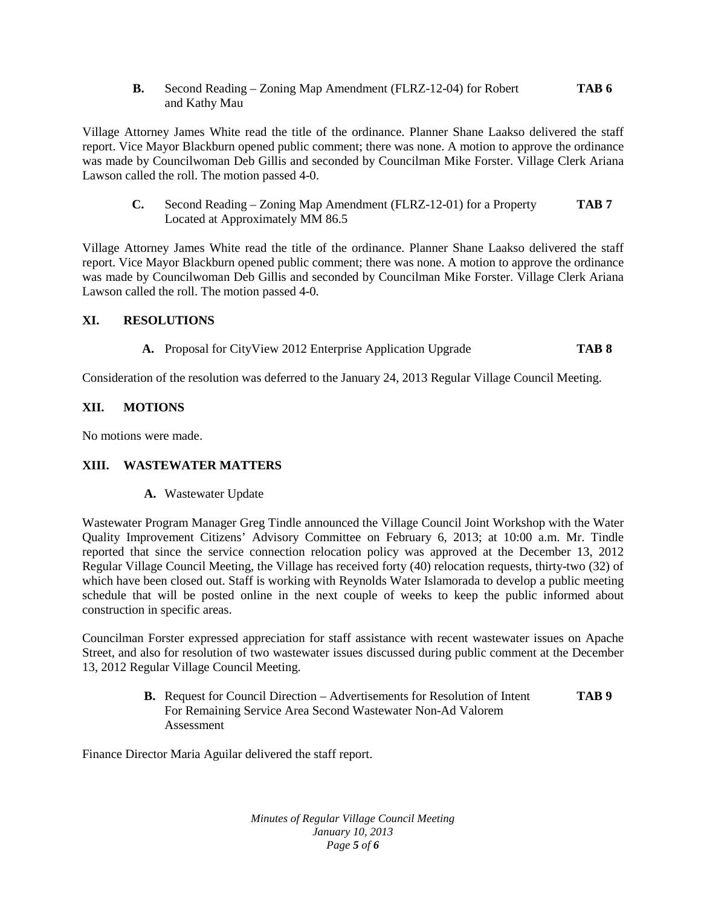**B.** Second Reading – Zoning Map Amendment (FLRZ-12-04) for Robert **TAB 6** and Kathy Mau

Village Attorney James White read the title of the ordinance. Planner Shane Laakso delivered the staff report. Vice Mayor Blackburn opened public comment; there was none. A motion to approve the ordinance was made by Councilwoman Deb Gillis and seconded by Councilman Mike Forster. Village Clerk Ariana Lawson called the roll. The motion passed 4-0.

**C.** Second Reading – Zoning Map Amendment (FLRZ-12-01) for a Property **TAB 7**  Located at Approximately MM 86.5

Village Attorney James White read the title of the ordinance. Planner Shane Laakso delivered the staff report. Vice Mayor Blackburn opened public comment; there was none. A motion to approve the ordinance was made by Councilwoman Deb Gillis and seconded by Councilman Mike Forster. Village Clerk Ariana Lawson called the roll. The motion passed 4-0.

### **XI. RESOLUTIONS**

**A.** Proposal for CityView 2012 Enterprise Application Upgrade **TAB 8**

Consideration of the resolution was deferred to the January 24, 2013 Regular Village Council Meeting.

### **XII. MOTIONS**

No motions were made.

#### **XIII. WASTEWATER MATTERS**

**A.** Wastewater Update

Wastewater Program Manager Greg Tindle announced the Village Council Joint Workshop with the Water Quality Improvement Citizens' Advisory Committee on February 6, 2013; at 10:00 a.m. Mr. Tindle reported that since the service connection relocation policy was approved at the December 13, 2012 Regular Village Council Meeting, the Village has received forty (40) relocation requests, thirty-two (32) of which have been closed out. Staff is working with Reynolds Water Islamorada to develop a public meeting schedule that will be posted online in the next couple of weeks to keep the public informed about construction in specific areas.

Councilman Forster expressed appreciation for staff assistance with recent wastewater issues on Apache Street, and also for resolution of two wastewater issues discussed during public comment at the December 13, 2012 Regular Village Council Meeting.

> **B.** Request for Council Direction – Advertisements for Resolution of Intent **TAB 9**  For Remaining Service Area Second Wastewater Non-Ad Valorem Assessment

Finance Director Maria Aguilar delivered the staff report.

*Minutes of Regular Village Council Meeting January 10, 2013 Page 5 of 6*